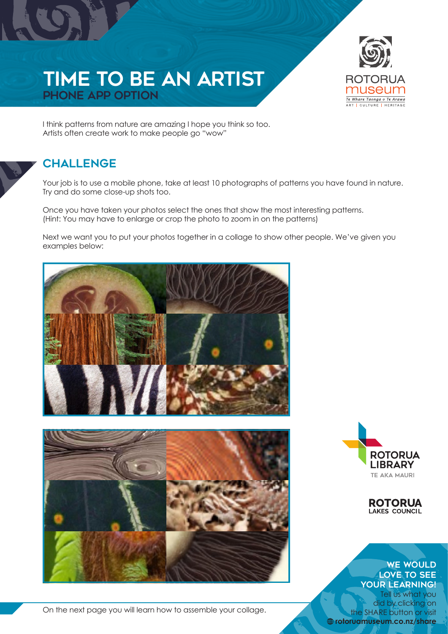



I think patterns from nature are amazing I hope you think so too. Artists often create work to make people go "wow"

## **CHALLENGE**

Your job is to use a mobile phone, take at least 10 photographs of patterns you have found in nature. Try and do some close-up shots too.

Once you have taken your photos select the ones that show the most interesting patterns. (Hint: You may have to enlarge or crop the photo to zoom in on the patterns)

Next we want you to put your photos together in a collage to show other people. We've given you examples below:



On the next page you will learn how to assemble your collage.



**ROTORUA**<br>LAKES COUNCIL

## WE WOULD LOVE TO SEE YOUR LEARNING!

Tell us what you did by clicking on the SHARE button or visit **rotoruamuseum.co.nz/share**